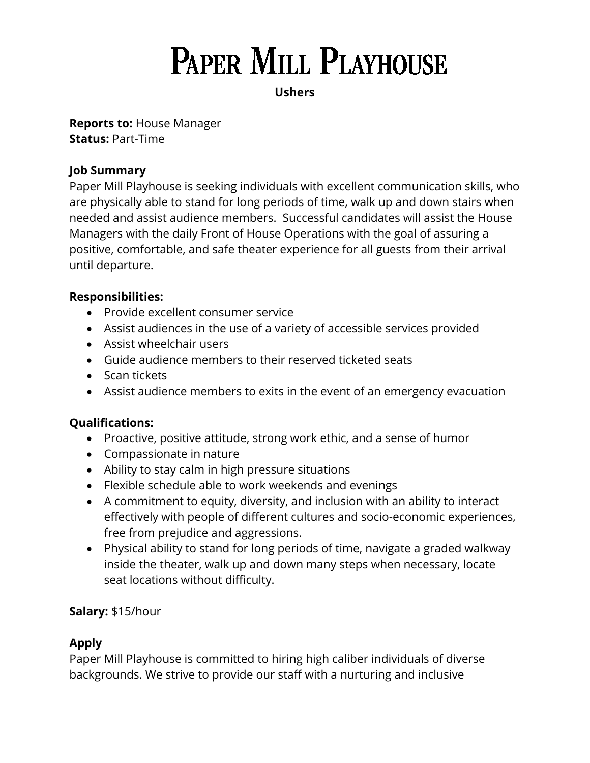# **PAPER MILL PLAYHOUSE**

## **Ushers**

**Reports to:** House Manager **Status:** Part-Time

# **Job Summary**

Paper Mill Playhouse is seeking individuals with excellent communication skills, who are physically able to stand for long periods of time, walk up and down stairs when needed and assist audience members. Successful candidates will assist the House Managers with the daily Front of House Operations with the goal of assuring a positive, comfortable, and safe theater experience for all guests from their arrival until departure.

## **Responsibilities:**

- Provide excellent consumer service
- Assist audiences in the use of a variety of accessible services provided
- Assist wheelchair users
- Guide audience members to their reserved ticketed seats
- Scan tickets
- Assist audience members to exits in the event of an emergency evacuation

## **Qualifications:**

- Proactive, positive attitude, strong work ethic, and a sense of humor
- Compassionate in nature
- Ability to stay calm in high pressure situations
- Flexible schedule able to work weekends and evenings
- A commitment to equity, diversity, and inclusion with an ability to interact effectively with people of different cultures and socio-economic experiences, free from prejudice and aggressions.
- Physical ability to stand for long periods of time, navigate a graded walkway inside the theater, walk up and down many steps when necessary, locate seat locations without difficulty.

## **Salary:** \$15/hour

# **Apply**

Paper Mill Playhouse is committed to hiring high caliber individuals of diverse backgrounds. We strive to provide our staff with a nurturing and inclusive